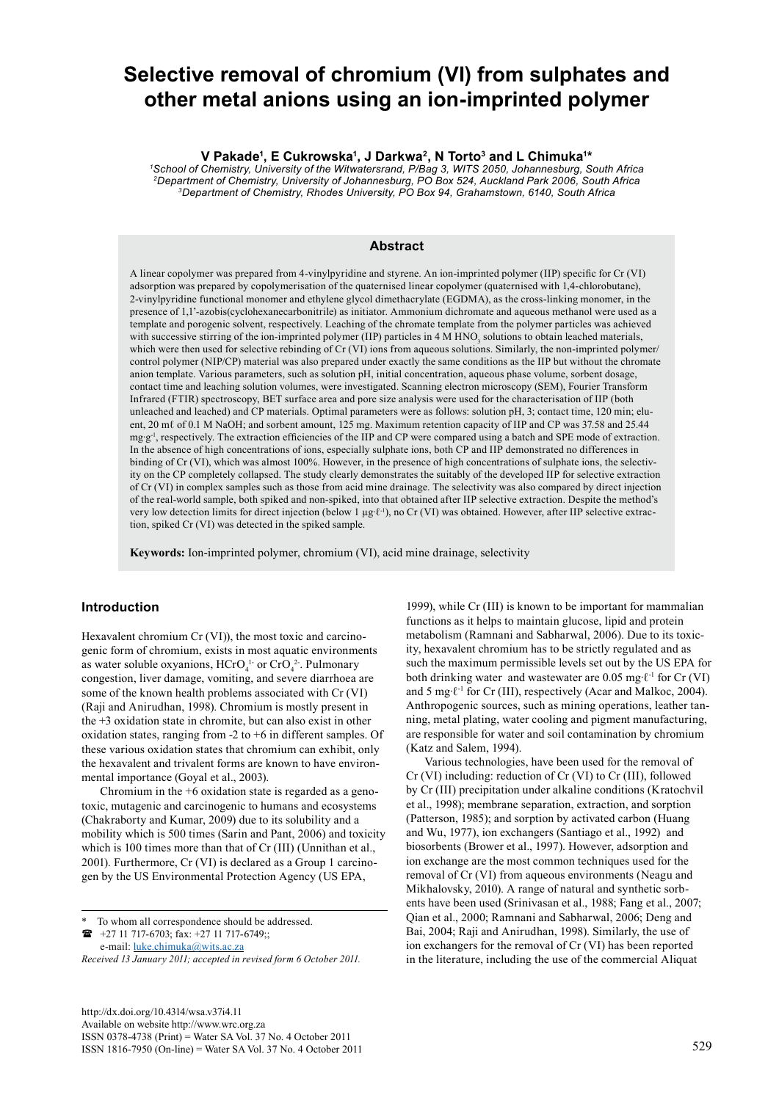# **Selective removal of chromium (VI) from sulphates and other metal anions using an ion-imprinted polymer**

**V Pakade1 , E Cukrowska1 , J Darkwa2, N Torto3 and L Chimuka1 \*** 

*1 School of Chemistry, University of the Witwatersrand, P/Bag 3, WITS 2050, Johannesburg, South Africa 2Department of Chemistry, University of Johannesburg, PO Box 524, Auckland Park 2006, South Africa 3Department of Chemistry, Rhodes University, PO Box 94, Grahamstown, 6140, South Africa*

#### **Abstract**

A linear copolymer was prepared from 4-vinylpyridine and styrene. An ion-imprinted polymer (IIP) specific for Cr (VI) adsorption was prepared by copolymerisation of the quaternised linear copolymer (quaternised with 1,4-chlorobutane), 2-vinylpyridine functional monomer and ethylene glycol dimethacrylate (EGDMA), as the cross-linking monomer, in the presence of 1,1'-azobis(cyclohexanecarbonitrile) as initiator. Ammonium dichromate and aqueous methanol were used as a template and porogenic solvent, respectively. Leaching of the chromate template from the polymer particles was achieved with successive stirring of the ion-imprinted polymer (IIP) particles in  $4 M HNO<sub>3</sub>$  solutions to obtain leached materials, which were then used for selective rebinding of Cr (VI) ions from aqueous solutions. Similarly, the non-imprinted polymer/ control polymer (NIP/CP) material was also prepared under exactly the same conditions as the IIP but without the chromate anion template. Various parameters, such as solution pH, initial concentration, aqueous phase volume, sorbent dosage, contact time and leaching solution volumes, were investigated. Scanning electron microscopy (SEM), Fourier Transform Infrared (FTIR) spectroscopy, BET surface area and pore size analysis were used for the characterisation of IIP (both unleached and leached) and CP materials. Optimal parameters were as follows: solution pH, 3; contact time, 120 min; eluent, 20 ml of 0.1 M NaOH; and sorbent amount, 125 mg. Maximum retention capacity of IIP and CP was 37.58 and 25.44 mg∙g-1, respectively. The extraction efficiencies of the IIP and CP were compared using a batch and SPE mode of extraction. In the absence of high concentrations of ions, especially sulphate ions, both CP and IIP demonstrated no differences in binding of Cr (VI), which was almost 100%. However, in the presence of high concentrations of sulphate ions, the selectivity on the CP completely collapsed. The study clearly demonstrates the suitably of the developed IIP for selective extraction of Cr (VI) in complex samples such as those from acid mine drainage. The selectivity was also compared by direct injection of the real-world sample, both spiked and non-spiked, into that obtained after IIP selective extraction. Despite the method's very low detection limits for direct injection (below 1 µg∙ℓ-1), no Cr (VI) was obtained. However, after IIP selective extraction, spiked Cr (VI) was detected in the spiked sample.

**Keywords:** Ion-imprinted polymer, chromium (VI), acid mine drainage, selectivity

# **Introduction**

Hexavalent chromium Cr (VI)), the most toxic and carcinogenic form of chromium, exists in most aquatic environments as water soluble oxyanions,  $HCrO<sub>4</sub><sup>1-</sup>$  or  $CrO<sub>4</sub><sup>2</sup>$ . Pulmonary congestion, liver damage, vomiting, and severe diarrhoea are some of the known health problems associated with Cr (VI) (Raji and Anirudhan, 1998). Chromium is mostly present in the +3 oxidation state in chromite, but can also exist in other oxidation states, ranging from -2 to +6 in different samples. Of these various oxidation states that chromium can exhibit, only the hexavalent and trivalent forms are known to have environmental importance (Goyal et al., 2003).

Chromium in the +6 oxidation state is regarded as a genotoxic, mutagenic and carcinogenic to humans and ecosystems (Chakraborty and Kumar, 2009) due to its solubility and a mobility which is 500 times (Sarin and Pant, 2006) and toxicity which is 100 times more than that of Cr (III) (Unnithan et al., 2001). Furthermore, Cr (VI) is declared as a Group 1 carcinogen by the US Environmental Protection Agency (US EPA,

e-mail: [luke.chimuka@wits.ac.za](mailto:luke.chimuka@wits.ac.za) 

1999), while Cr (III) is known to be important for mammalian functions as it helps to maintain glucose, lipid and protein metabolism (Ramnani and Sabharwal, 2006). Due to its toxicity, hexavalent chromium has to be strictly regulated and as such the maximum permissible levels set out by the US EPA for both drinking water and wastewater are 0.05 mg∙ℓ-1 for Cr (VI) and 5 mg∙ℓ-1 for Cr (III), respectively (Acar and Malkoc, 2004). Anthropogenic sources, such as mining operations, leather tanning, metal plating, water cooling and pigment manufacturing, are responsible for water and soil contamination by chromium (Katz and Salem, 1994).

Various technologies, have been used for the removal of Cr (VI) including: reduction of Cr (VI) to Cr (III), followed by Cr (III) precipitation under alkaline conditions (Kratochvil et al., 1998); membrane separation, extraction, and sorption (Patterson, 1985); and sorption by activated carbon (Huang and Wu, 1977), ion exchangers (Santiago et al., 1992) and biosorbents (Brower et al., 1997). However, adsorption and ion exchange are the most common techniques used for the removal of Cr (VI) from aqueous environments (Neagu and Mikhalovsky, 2010). A range of natural and synthetic sorbents have been used (Srinivasan et al., 1988; Fang et al., 2007; Qian et al., 2000; Ramnani and Sabharwal, 2006; Deng and Bai, 2004; Raji and Anirudhan, 1998). Similarly, the use of ion exchangers for the removal of Cr (VI) has been reported in the literature, including the use of the commercial Aliquat

To whom all correspondence should be addressed. +27 11 717-6703; fax: +27 11 717-6749;;

*Received 13 January 2011; accepted in revised form 6 October 2011.*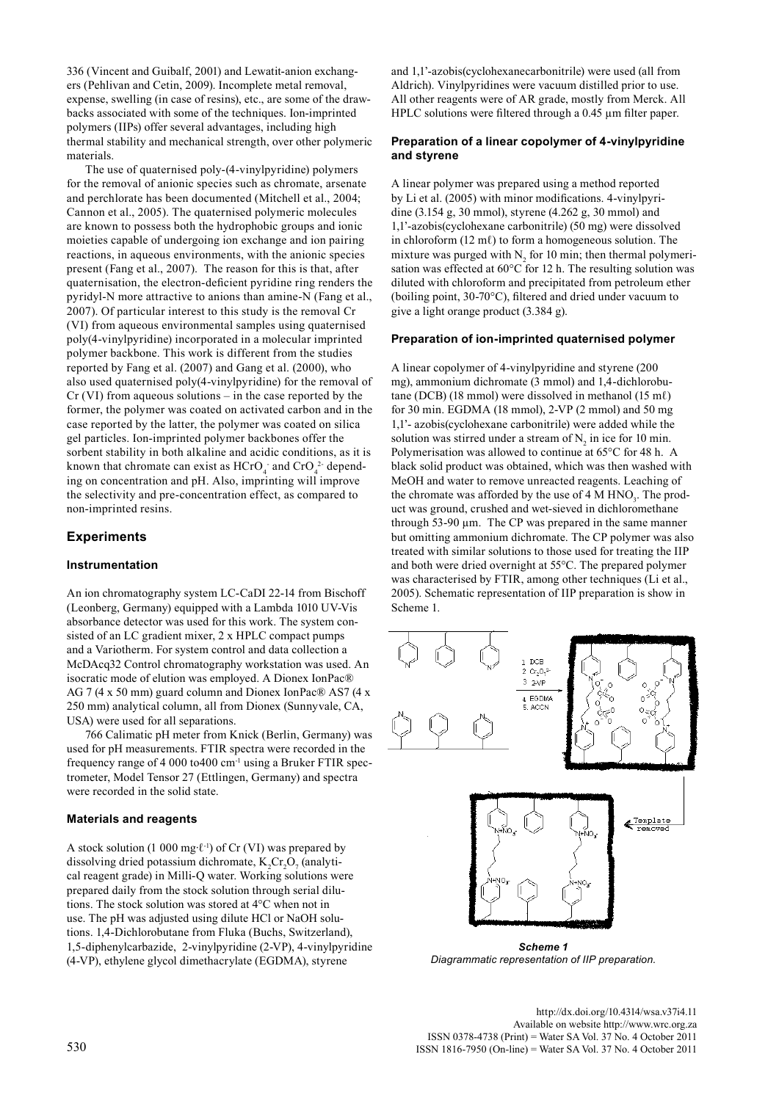336 (Vincent and Guibalf, 2001) and Lewatit-anion exchangers (Pehlivan and Cetin, 2009). Incomplete metal removal, expense, swelling (in case of resins), etc., are some of the drawbacks associated with some of the techniques. Ion-imprinted polymers (IIPs) offer several advantages, including high thermal stability and mechanical strength, over other polymeric materials.

The use of quaternised poly-(4-vinylpyridine) polymers for the removal of anionic species such as chromate, arsenate and perchlorate has been documented (Mitchell et al., 2004; Cannon et al., 2005). The quaternised polymeric molecules are known to possess both the hydrophobic groups and ionic moieties capable of undergoing ion exchange and ion pairing reactions, in aqueous environments, with the anionic species present (Fang et al., 2007). The reason for this is that, after quaternisation, the electron-deficient pyridine ring renders the pyridyl-N more attractive to anions than amine-N (Fang et al., 2007). Of particular interest to this study is the removal Cr (VI) from aqueous environmental samples using quaternised poly(4-vinylpyridine) incorporated in a molecular imprinted polymer backbone. This work is different from the studies reported by Fang et al. (2007) and Gang et al. (2000), who also used quaternised poly(4-vinylpyridine) for the removal of Cr (VI) from aqueous solutions – in the case reported by the former, the polymer was coated on activated carbon and in the case reported by the latter, the polymer was coated on silica gel particles. Ion-imprinted polymer backbones offer the sorbent stability in both alkaline and acidic conditions, as it is known that chromate can exist as  $HCrO<sub>4</sub>$ <sup>-</sup> and  $CrO<sub>4</sub>$ <sup>2</sup>- depending on concentration and pH. Also, imprinting will improve the selectivity and pre-concentration effect, as compared to non-imprinted resins.

# **Experiments**

## **Instrumentation**

An ion chromatography system LC-CaDI 22-14 from Bischoff (Leonberg, Germany) equipped with a Lambda 1010 UV-Vis absorbance detector was used for this work. The system consisted of an LC gradient mixer, 2 x HPLC compact pumps and a Variotherm. For system control and data collection a McDAcq32 Control chromatography workstation was used. An isocratic mode of elution was employed. A Dionex IonPac® AG 7 (4 x 50 mm) guard column and Dionex IonPac® AS7 (4 x 250 mm) analytical column, all from Dionex (Sunnyvale, CA, USA) were used for all separations.

766 Calimatic pH meter from Knick (Berlin, Germany) was used for pH measurements. FTIR spectra were recorded in the frequency range of 4 000 to400 cm-1 using a Bruker FTIR spectrometer, Model Tensor 27 (Ettlingen, Germany) and spectra were recorded in the solid state.

## **Materials and reagents**

A stock solution (1 000 mg⋅ $\ell$ <sup>-1</sup>) of Cr (VI) was prepared by dissolving dried potassium dichromate,  $K_2Cr_2O_7$  (analytical reagent grade) in Milli-Q water. Working solutions were prepared daily from the stock solution through serial dilutions. The stock solution was stored at 4°C when not in use. The pH was adjusted using dilute HCl or NaOH solutions. 1,4-Dichlorobutane from Fluka (Buchs, Switzerland), 1,5-diphenylcarbazide, 2-vinylpyridine (2-VP), 4-vinylpyridine (4-VP), ethylene glycol dimethacrylate (EGDMA), styrene

and 1,1'-azobis(cyclohexanecarbonitrile) were used (all from Aldrich). Vinylpyridines were vacuum distilled prior to use. All other reagents were of AR grade, mostly from Merck. All HPLC solutions were filtered through a 0.45 µm filter paper.

## **Preparation of a linear copolymer of 4-vinylpyridine and styrene**

A linear polymer was prepared using a method reported by Li et al. (2005) with minor modifications. 4-vinylpyridine (3.154 g, 30 mmol), styrene (4.262 g, 30 mmol) and 1,1'-azobis(cyclohexane carbonitrile) (50 mg) were dissolved in chloroform  $(12 \text{ m}\ell)$  to form a homogeneous solution. The mixture was purged with  $N_2$  for 10 min; then thermal polymerisation was effected at 60°C for 12 h. The resulting solution was diluted with chloroform and precipitated from petroleum ether (boiling point, 30-70°C), filtered and dried under vacuum to give a light orange product (3.384 g).

#### **Preparation of ion-imprinted quaternised polymer**

A linear copolymer of 4-vinylpyridine and styrene (200 mg), ammonium dichromate (3 mmol) and 1,4-dichlorobutane (DCB) (18 mmol) were dissolved in methanol (15 mℓ) for 30 min. EGDMA (18 mmol), 2-VP (2 mmol) and 50 mg 1,1'- azobis(cyclohexane carbonitrile) were added while the solution was stirred under a stream of  $N_2$  in ice for 10 min. Polymerisation was allowed to continue at 65°C for 48 h. A black solid product was obtained, which was then washed with MeOH and water to remove unreacted reagents. Leaching of the chromate was afforded by the use of  $4 \text{ M HNO}_3$ . The product was ground, crushed and wet-sieved in dichloromethane through  $53-90 \mu m$ . The CP was prepared in the same manner but omitting ammonium dichromate. The CP polymer was also treated with similar solutions to those used for treating the IIP and both were dried overnight at 55°C. The prepared polymer was characterised by FTIR, among other techniques (Li et al., 2005). Schematic representation of IIP preparation is show in Scheme 1.



*Scheme 1 Diagrammatic representation of IIP preparation.* 

<http://dx.doi.org/10.4314/wsa.v37i4.11> Available on website http://www.wrc.org.za ISSN 0378-4738 (Print) = Water SA Vol. 37 No. 4 October 2011 530 ISSN 1816-7950 (On-line) = Water SA Vol. 37 No. 4 October 2011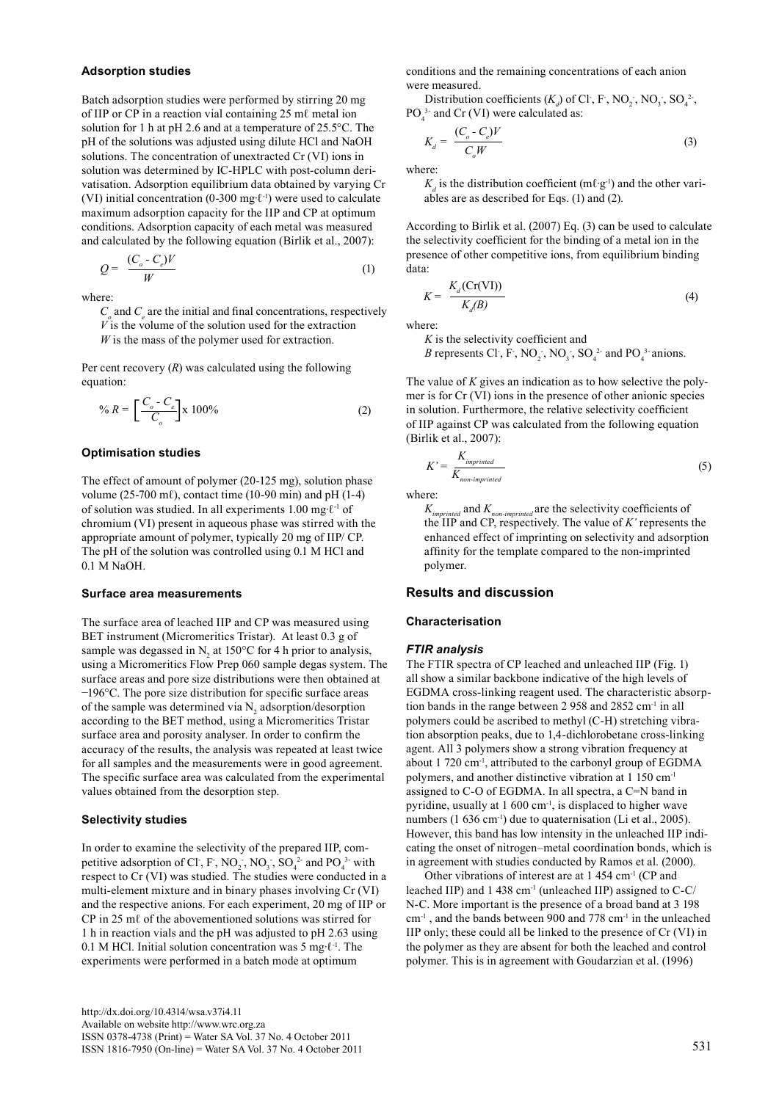#### **Adsorption studies**

Batch adsorption studies were performed by stirring 20 mg of IIP or CP in a reaction vial containing 25 mℓ metal ion solution for 1 h at pH 2.6 and at a temperature of 25.5°C. The pH of the solutions was adjusted using dilute HCl and NaOH solutions. The concentration of unextracted Cr (VI) ions in solution was determined by IC-HPLC with post-column derivatisation. Adsorption equilibrium data obtained by varying Cr (VI) initial concentration (0-300 mg∙ℓ-1) were used to calculate maximum adsorption capacity for the IIP and CP at optimum conditions. Adsorption capacity of each metal was measured and calculated by the following equation (Birlik et al., 2007):

$$
Q = \frac{(C_o - C_e)V}{W}
$$
 (1)

where:

 $C<sub>o</sub>$  and  $C<sub>e</sub>$  are the initial and final concentrations, respectively *V* is the volume of the solution used for the extraction *W* is the mass of the polymer used for extraction.

Per cent recovery (*R*) was calculated using the following equation:

$$
\% R = \left[ \frac{C_o - C_e}{C_o} \right] \times 100\% \tag{2}
$$

## **Optimisation studies**

The effect of amount of polymer (20-125 mg), solution phase volume (25-700 m $\ell$ ), contact time (10-90 min) and pH (1-4) of solution was studied. In all experiments 1.00 mg∙ℓ-1 of chromium (VI) present in aqueous phase was stirred with the appropriate amount of polymer, typically 20 mg of IIP/ CP. The pH of the solution was controlled using 0.1 M HCl and 0.1 M NaOH.

#### **Surface area measurements**

The surface area of leached IIP and CP was measured using BET instrument (Micromeritics Tristar). At least 0.3 g of sample was degassed in  $N_2$  at 150°C for 4 h prior to analysis, using a Micromeritics Flow Prep 060 sample degas system. The surface areas and pore size distributions were then obtained at −196°C. The pore size distribution for specific surface areas of the sample was determined via  $N_2$  adsorption/desorption according to the BET method, using a Micromeritics Tristar surface area and porosity analyser. In order to confirm the accuracy of the results, the analysis was repeated at least twice for all samples and the measurements were in good agreement. The specific surface area was calculated from the experimental values obtained from the desorption step.

#### **Selectivity studies**

In order to examine the selectivity of the prepared IIP, competitive adsorption of Cl<sup>-</sup>, F<sup>-</sup>, NO<sub>2</sub><sup>-</sup>, NO<sub>3</sub><sup>-</sup>, SO<sub>4</sub><sup>2</sup><sup>-</sup> and PO<sub>4</sub><sup>3</sup><sup>-</sup> with respect to Cr (VI) was studied. The studies were conducted in a multi-element mixture and in binary phases involving Cr (VI) and the respective anions. For each experiment, 20 mg of IIP or CP in 25 mℓ of the abovementioned solutions was stirred for 1 h in reaction vials and the pH was adjusted to pH 2.63 using 0.1 M HCl. Initial solution concentration was 5 mg∙ℓ-1. The experiments were performed in a batch mode at optimum

conditions and the remaining concentrations of each anion were measured.

Distribution coefficients  $(K_d)$  of Cl<sup>-</sup>, F<sup>-</sup>, NO<sub>2</sub><sup>-</sup>, NO<sub>3</sub><sup>-</sup>, SO<sub>4</sub><sup>2</sup><sup>-</sup>,  $PO_4^{3}$  and Cr (VI) were calculated as:

$$
K_d = \frac{(C_o - C_e)V}{C_oW} \tag{3}
$$

where:

 $K_d$  is the distribution coefficient (mℓ⋅g<sup>-1</sup>) and the other variables are as described for Eqs. (1) and (2).

According to Birlik et al. (2007) Eq. (3) can be used to calculate the selectivity coefficient for the binding of a metal ion in the presence of other competitive ions, from equilibrium binding data:

$$
K = \frac{K_d(\text{Cr(VI)})}{K_d(B)}\tag{4}
$$

where:

*K* is the selectivity coefficient and

*B* represents Cl<sup>-</sup>, F<sup>-</sup>, NO<sub>2</sub><sup>-</sup>, NO<sub>3</sub><sup>-</sup>, SO<sub>4</sub><sup>2</sup><sup>-</sup> and PO<sub>4</sub><sup>3</sup><sup>-</sup> anions.

The value of *K* gives an indication as to how selective the polymer is for Cr (VI) ions in the presence of other anionic species in solution. Furthermore, the relative selectivity coefficient of IIP against CP was calculated from the following equation (Birlik et al., 2007):

$$
K' = \frac{K_{imprinted}}{K_{non-imprinted}} \tag{5}
$$

where:

*Kimprinted* and *Knon-imprinted* are the selectivity coefficients of the IIP and CP, respectively. The value of *K'* represents the enhanced effect of imprinting on selectivity and adsorption affinity for the template compared to the non-imprinted polymer.

## **Results and discussion**

## **Characterisation**

#### *FTIR analysis*

The FTIR spectra of CP leached and unleached IIP (Fig. 1) all show a similar backbone indicative of the high levels of EGDMA cross-linking reagent used. The characteristic absorption bands in the range between 2 958 and 2852 cm<sup>-1</sup> in all polymers could be ascribed to methyl (C-H) stretching vibration absorption peaks, due to 1,4-dichlorobetane cross-linking agent. All 3 polymers show a strong vibration frequency at about 1 720 cm-1, attributed to the carbonyl group of EGDMA polymers, and another distinctive vibration at 1 150 cm-1 assigned to C-O of EGDMA. In all spectra, a C=N band in pyridine, usually at 1 600 cm<sup>-1</sup>, is displaced to higher wave numbers (1 636 cm<sup>-1</sup>) due to quaternisation (Li et al., 2005). However, this band has low intensity in the unleached IIP indicating the onset of nitrogen–metal coordination bonds, which is in agreement with studies conducted by Ramos et al. (2000).

Other vibrations of interest are at 1 454 cm<sup>-1</sup> (CP and leached IIP) and 1 438 cm<sup>-1</sup> (unleached IIP) assigned to C-C/ N-C. More important is the presence of a broad band at 3 198 cm-1 , and the bands between 900 and 778 cm-1 in the unleached IIP only; these could all be linked to the presence of Cr (VI) in the polymer as they are absent for both the leached and control polymer. This is in agreement with Goudarzian et al. (1996)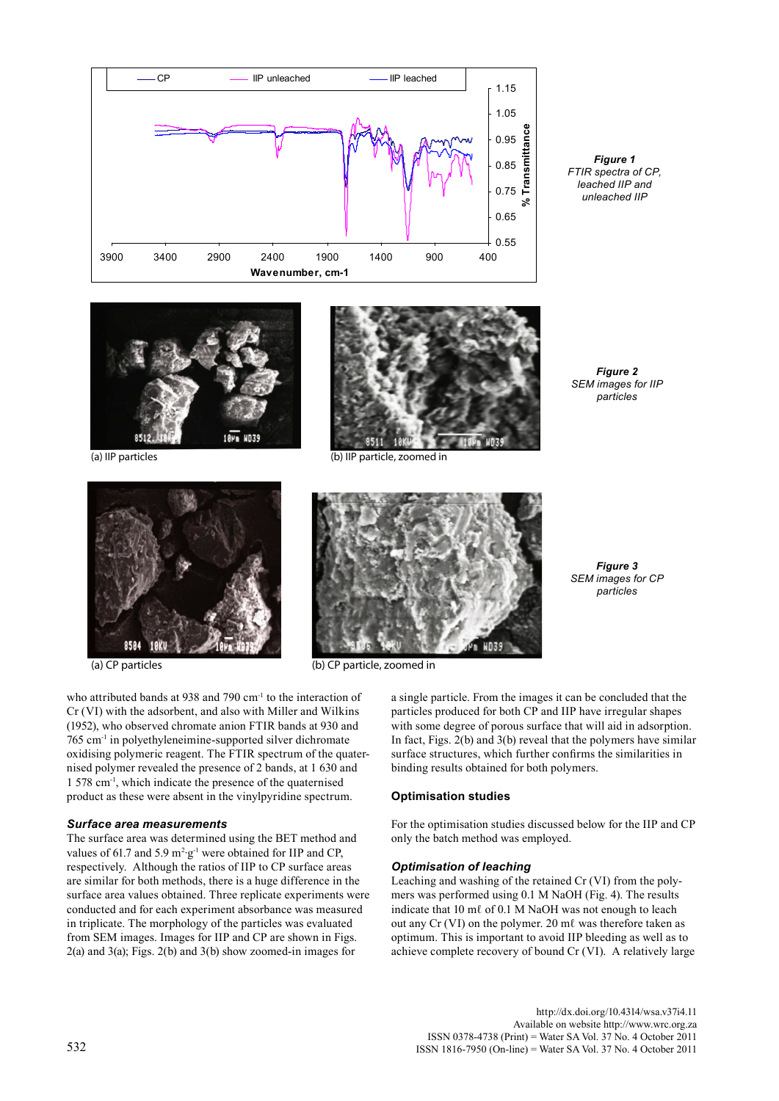

*Figure 1 FTIR spectra of CP, leached IIP and unleached IIP*





(a) IIP particles (b) IIP particle, zoomed in

*Figure 2 SEM images for IIP particles* 

*Figure 3 SEM images for CP particles*





(a) CP particles (b) CP particle, zoomed in

a single particle. From the images it can be concluded that the particles produced for both CP and IIP have irregular shapes with some degree of porous surface that will aid in adsorption. In fact, Figs. 2(b) and 3(b) reveal that the polymers have similar surface structures, which further confirms the similarities in binding results obtained for both polymers.

#### **Optimisation studies**

For the optimisation studies discussed below for the IIP and CP only the batch method was employed.

#### *Optimisation of leaching*

Leaching and washing of the retained Cr (VI) from the polymers was performed using 0.1 M NaOH (Fig. 4). The results indicate that 10 mℓ of 0.1 M NaOH was not enough to leach out any Cr (VI) on the polymer. 20 mℓ was therefore taken as optimum. This is important to avoid IIP bleeding as well as to achieve complete recovery of bound Cr (VI). A relatively large

who attributed bands at 938 and 790 cm<sup>-1</sup> to the interaction of Cr (VI) with the adsorbent, and also with Miller and Wilkins (1952), who observed chromate anion FTIR bands at 930 and 765 cm-1 in polyethyleneimine-supported silver dichromate oxidising polymeric reagent. The FTIR spectrum of the quaternised polymer revealed the presence of 2 bands, at 1 630 and 1 578 cm-1, which indicate the presence of the quaternised product as these were absent in the vinylpyridine spectrum.

#### *Surface area measurements*

The surface area was determined using the BET method and values of 61.7 and 5.9  $m^2 \text{g}^{-1}$  were obtained for IIP and CP, respectively. Although the ratios of IIP to CP surface areas are similar for both methods, there is a huge difference in the surface area values obtained. Three replicate experiments were conducted and for each experiment absorbance was measured in triplicate. The morphology of the particles was evaluated from SEM images. Images for IIP and CP are shown in Figs. 2(a) and 3(a); Figs. 2(b) and 3(b) show zoomed-in images for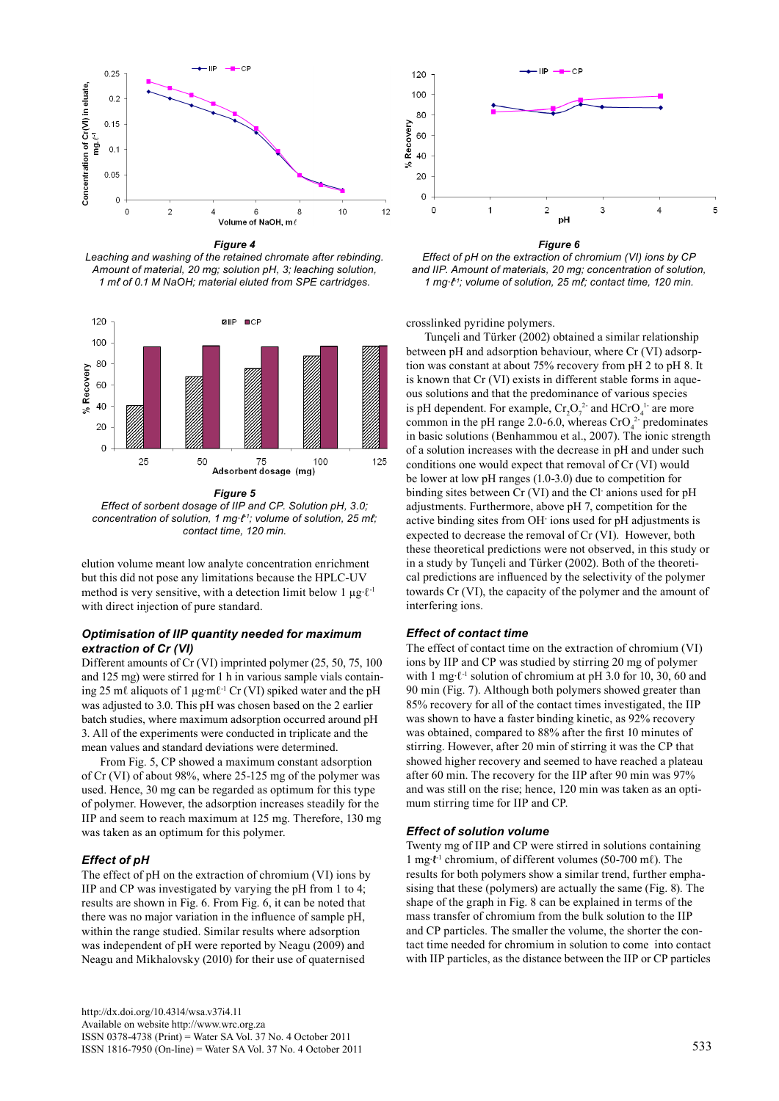

*Figure 4 Leaching and washing of the retained chromate after rebinding. Amount of material, 20 mg; solution pH, 3; leaching solution, 1 mℓ of 0.1 M NaOH; material eluted from SPE cartridges.* 



*Figure 5*

*Effect of sorbent dosage of IIP and CP. Solution pH, 3.0; concentration of solution, 1 mg∙ℓ-1; volume of solution, 25 mℓ; contact time, 120 min.* 

elution volume meant low analyte concentration enrichment but this did not pose any limitations because the HPLC-UV method is very sensitive, with a detection limit below 1  $\mu$ g⋅ $\ell$ <sup>-1</sup> with direct injection of pure standard.

## *Optimisation of IIP quantity needed for maximum extraction of Cr (VI)*

Different amounts of Cr (VI) imprinted polymer (25, 50, 75, 100 and 125 mg) were stirred for 1 h in various sample vials containing 25 mℓ aliquots of 1 µg∙mℓ-1 Cr (VI) spiked water and the pH was adjusted to 3.0. This pH was chosen based on the 2 earlier batch studies, where maximum adsorption occurred around pH 3. All of the experiments were conducted in triplicate and the mean values and standard deviations were determined.

From Fig. 5, CP showed a maximum constant adsorption of Cr (VI) of about 98%, where 25-125 mg of the polymer was used. Hence, 30 mg can be regarded as optimum for this type of polymer. However, the adsorption increases steadily for the IIP and seem to reach maximum at 125 mg. Therefore, 130 mg was taken as an optimum for this polymer.

## *Effect of pH*

The effect of pH on the extraction of chromium (VI) ions by IIP and CP was investigated by varying the pH from 1 to 4; results are shown in Fig. 6. From Fig. 6, it can be noted that there was no major variation in the influence of sample pH, within the range studied. Similar results where adsorption was independent of pH were reported by Neagu (2009) and Neagu and Mikhalovsky (2010) for their use of quaternised



*Figure 6 Effect of pH on the extraction of chromium (VI) ions by CP and IIP. Amount of materials, 20 mg; concentration of solution, 1 mg∙ℓ-1; volume of solution, 25 mℓ; contact time, 120 min.*

crosslinked pyridine polymers.

Tunçeli and Türker (2002) obtained a similar relationship between pH and adsorption behaviour, where Cr (VI) adsorption was constant at about 75% recovery from pH 2 to pH 8. It is known that Cr (VI) exists in different stable forms in aqueous solutions and that the predominance of various species is pH dependent. For example,  $Cr_2O_7^2$  and HCrO<sub>4</sub><sup>1</sup> are more common in the pH range 2.0-6.0, whereas  $CrO<sub>4</sub><sup>2</sup>$  predominates in basic solutions (Benhammou et al., 2007). The ionic strength of a solution increases with the decrease in pH and under such conditions one would expect that removal of Cr (VI) would be lower at low pH ranges (1.0-3.0) due to competition for binding sites between Cr (VI) and the Cl- anions used for pH adjustments. Furthermore, above pH 7, competition for the active binding sites from OH- ions used for pH adjustments is expected to decrease the removal of Cr (VI). However, both these theoretical predictions were not observed, in this study or in a study by Tunçeli and Türker (2002). Both of the theoretical predictions are influenced by the selectivity of the polymer towards Cr (VI), the capacity of the polymer and the amount of interfering ions.

## *Effect of contact time*

The effect of contact time on the extraction of chromium (VI) ions by IIP and CP was studied by stirring 20 mg of polymer with 1 mg⋅ℓ<sup>-1</sup> solution of chromium at pH 3.0 for 10, 30, 60 and 90 min (Fig. 7). Although both polymers showed greater than 85% recovery for all of the contact times investigated, the IIP was shown to have a faster binding kinetic, as 92% recovery was obtained, compared to 88% after the first 10 minutes of stirring. However, after 20 min of stirring it was the CP that showed higher recovery and seemed to have reached a plateau after 60 min. The recovery for the IIP after 90 min was 97% and was still on the rise; hence, 120 min was taken as an optimum stirring time for IIP and CP.

## *Effect of solution volume*

Twenty mg of IIP and CP were stirred in solutions containing 1 mg∙ℓ -1 chromium, of different volumes (50-700 mℓ). The results for both polymers show a similar trend, further emphasising that these (polymers) are actually the same (Fig. 8). The shape of the graph in Fig. 8 can be explained in terms of the mass transfer of chromium from the bulk solution to the IIP and CP particles. The smaller the volume, the shorter the contact time needed for chromium in solution to come into contact with IIP particles, as the distance between the IIP or CP particles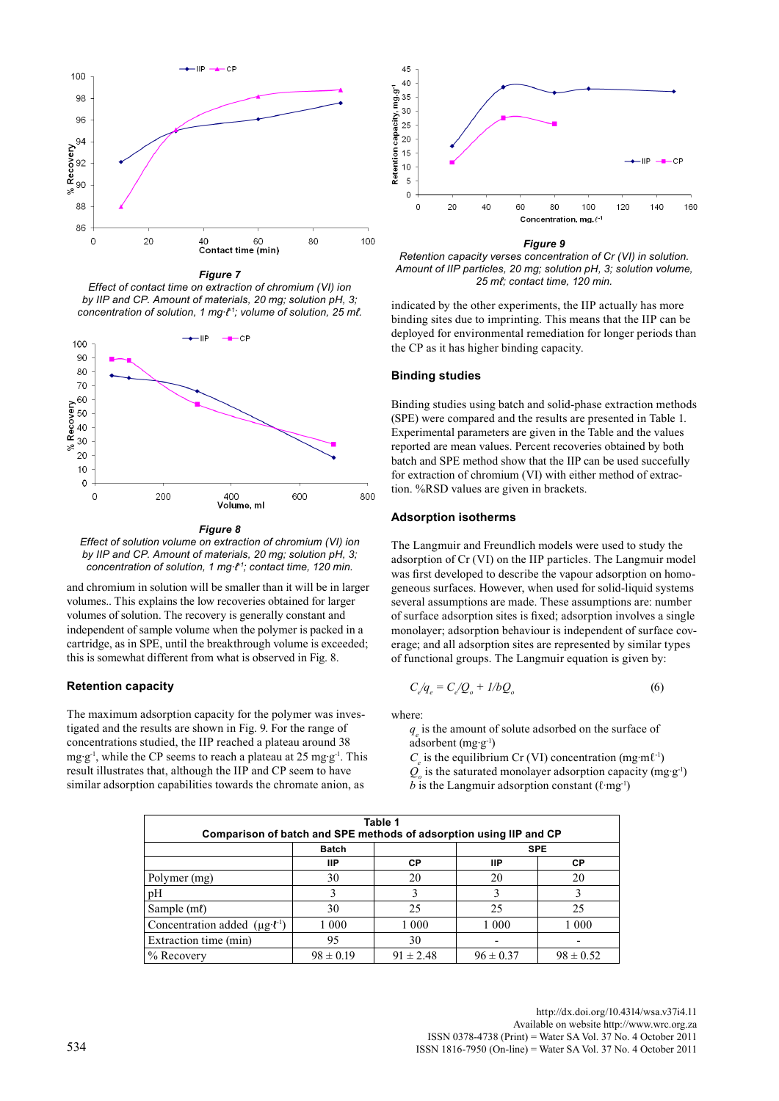

*Figure 7 Effect of contact time on extraction of chromium (VI) ion by IIP and CP. Amount of materials, 20 mg; solution pH, 3; concentration of solution, 1 mg∙ℓ-1; volume of solution, 25 mℓ.*



*Effect of solution volume on extraction of chromium (VI) ion by IIP and CP. Amount of materials, 20 mg; solution pH, 3; concentration of solution, 1 mg∙ℓ-1; contact time, 120 min.*

and chromium in solution will be smaller than it will be in larger volumes.. This explains the low recoveries obtained for larger volumes of solution. The recovery is generally constant and independent of sample volume when the polymer is packed in a cartridge, as in SPE, until the breakthrough volume is exceeded; this is somewhat different from what is observed in Fig. 8.

## **Retention capacity**

The maximum adsorption capacity for the polymer was investigated and the results are shown in Fig. 9. For the range of concentrations studied, the IIP reached a plateau around 38 mg∙g-1, while the CP seems to reach a plateau at 25 mg∙g-1. This result illustrates that, although the IIP and CP seem to have similar adsorption capabilities towards the chromate anion, as



*Figure 9 Retention capacity verses concentration of Cr (VI) in solution. Amount of IIP particles, 20 mg; solution pH, 3; solution volume, 25 mℓ; contact time, 120 min.*

indicated by the other experiments, the IIP actually has more binding sites due to imprinting. This means that the IIP can be deployed for environmental remediation for longer periods than the CP as it has higher binding capacity.

#### **Binding studies**

Binding studies using batch and solid-phase extraction methods (SPE) were compared and the results are presented in Table 1. Experimental parameters are given in the Table and the values reported are mean values. Percent recoveries obtained by both batch and SPE method show that the IIP can be used succefully for extraction of chromium (VI) with either method of extraction. %RSD values are given in brackets.

#### **Adsorption isotherms**

The Langmuir and Freundlich models were used to study the adsorption of Cr (VI) on the IIP particles. The Langmuir model was first developed to describe the vapour adsorption on homogeneous surfaces. However, when used for solid-liquid systems several assumptions are made. These assumptions are: number of surface adsorption sites is fixed; adsorption involves a single monolayer; adsorption behaviour is independent of surface coverage; and all adsorption sites are represented by similar types of functional groups. The Langmuir equation is given by:

$$
C_{e}^{\prime}q_{e} = C_{e}^{\prime}Q_{o} + I/bQ_{o}
$$
\n
$$
\tag{6}
$$

where:

*qe* is the amount of solute adsorbed on the surface of adsorbent (mg∙g-1)

 $C_e$  is the equilibrium Cr (VI) concentration (mg⋅mℓ<sup>-1</sup>) *Q*<sub>o</sub> is the saturated monolayer adsorption capacity (mg⋅g<sup>-1</sup>) *b* is the Langmuir adsorption constant  $(\ell$ ·mg<sup>-1</sup>)

| Table 1<br>Comparison of batch and SPE methods of adsorption using IIP and CP |               |               |               |               |  |  |  |
|-------------------------------------------------------------------------------|---------------|---------------|---------------|---------------|--|--|--|
|                                                                               | <b>Batch</b>  |               | <b>SPE</b>    |               |  |  |  |
|                                                                               | ШP            | СP            | ШP            | СP            |  |  |  |
| Polymer (mg)                                                                  | 30            | 20            | 20            | 20            |  |  |  |
| pН                                                                            |               |               |               |               |  |  |  |
| Sample (ml)                                                                   | 30            | 25            | 25            | 25            |  |  |  |
| Concentration added $(\mu g \cdot \ell^{-1})$                                 | 1 0 0 0       | 1 0 0 0       | 1 0 0 0       | 1 0 0 0       |  |  |  |
| Extraction time (min)                                                         | 95            | 30            |               |               |  |  |  |
| % Recovery                                                                    | $98 \pm 0.19$ | $91 \pm 2.48$ | $96 \pm 0.37$ | $98 \pm 0.52$ |  |  |  |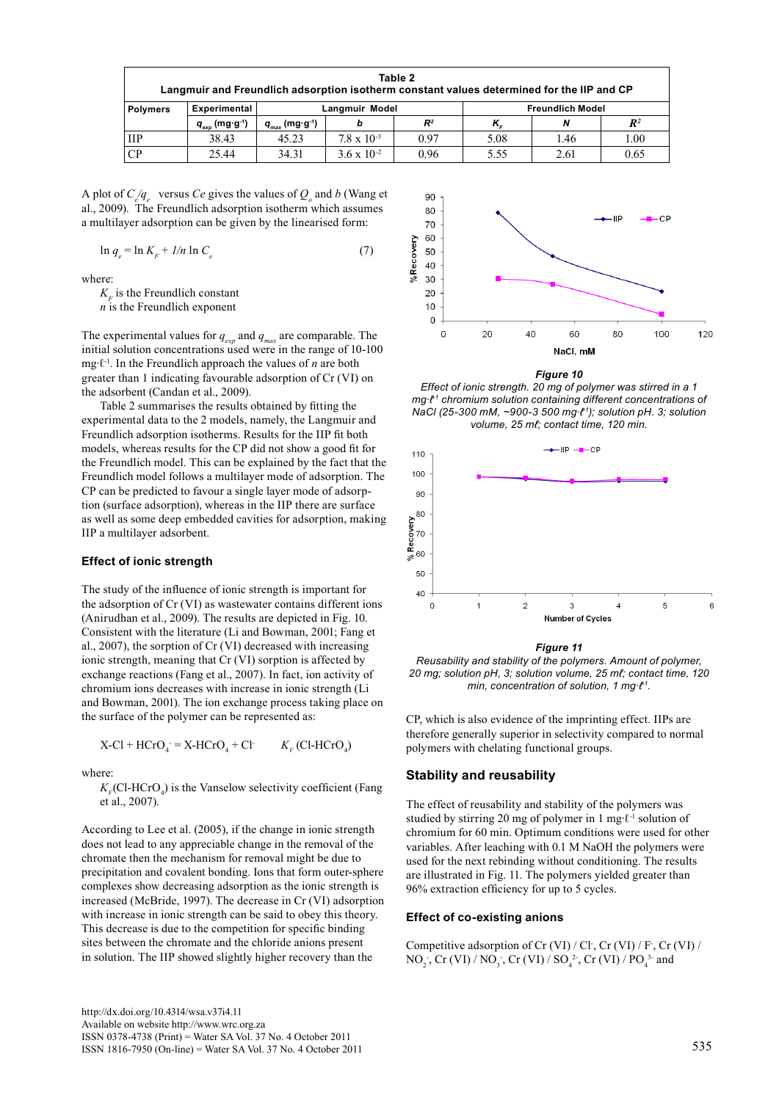| Table 2<br>Langmuir and Freundlich adsorption isotherm constant values determined for the IIP and CP |                                                                             |                    |                      |       |                         |      |                |  |
|------------------------------------------------------------------------------------------------------|-----------------------------------------------------------------------------|--------------------|----------------------|-------|-------------------------|------|----------------|--|
| <b>Polymers</b>                                                                                      | <b>Experimental</b>                                                         | Langmuir Model     |                      |       | <b>Freundlich Model</b> |      |                |  |
|                                                                                                      | $\boldsymbol{q}_{_{\boldsymbol{e} \boldsymbol{x} \boldsymbol{p}}}$ (mg·g·1) | $q_{max}$ (mg·g·1) | b                    | $R^2$ | $K_{e}$                 | N    | $\mathbb{R}^2$ |  |
| <b>IIP</b>                                                                                           | 38.43                                                                       | 45.23              | $78 \times 10^{-3}$  | 0.97  | 5.08                    | 1.46 | 1.00           |  |
| CР                                                                                                   | 25.44                                                                       | 34.31              | $3.6 \times 10^{-2}$ | 0.96  | 5.55                    | 2.61 | 0.65           |  |

A plot of  $C_{e/q_e}$  versus *Ce* gives the values of  $Q_o$  and *b* (Wang et al., 2009). The Freundlich adsorption isotherm which assumes a multilayer adsorption can be given by the linearised form:

$$
\ln q_e = \ln K_F + I/n \ln C_e \tag{7}
$$

where:

 $K<sub>F</sub>$  is the Freundlich constant *n* is the Freundlich exponent

The experimental values for  $q_{\text{grav}}$  and  $q_{\text{max}}$  are comparable. The initial solution concentrations used were in the range of 10-100 mg∙ℓ-1. In the Freundlich approach the values of *n* are both greater than 1 indicating favourable adsorption of Cr (VI) on the adsorbent (Candan et al., 2009).

Table 2 summarises the results obtained by fitting the experimental data to the 2 models, namely, the Langmuir and Freundlich adsorption isotherms. Results for the IIP fit both models, whereas results for the CP did not show a good fit for the Freundlich model. This can be explained by the fact that the Freundlich model follows a multilayer mode of adsorption. The CP can be predicted to favour a single layer mode of adsorption (surface adsorption), whereas in the IIP there are surface as well as some deep embedded cavities for adsorption, making IIP a multilayer adsorbent.

## **Effect of ionic strength**

The study of the influence of ionic strength is important for the adsorption of Cr (VI) as wastewater contains different ions (Anirudhan et al., 2009). The results are depicted in Fig. 10. Consistent with the literature (Li and Bowman, 2001; Fang et al., 2007), the sorption of Cr (VI) decreased with increasing ionic strength, meaning that Cr (VI) sorption is affected by exchange reactions (Fang et al., 2007). In fact, ion activity of chromium ions decreases with increase in ionic strength (Li and Bowman, 2001). The ion exchange process taking place on the surface of the polymer can be represented as:

$$
X\text{-Cl} + \text{HCrO}_4 = X\text{-HCrO}_4 + \text{Cl} \qquad K_V(\text{Cl-HCrO}_4)
$$

where:

 $K_{V}$ (Cl-HCrO<sub>4</sub>) is the Vanselow selectivity coefficient (Fang et al., 2007).

According to Lee et al. (2005), if the change in ionic strength does not lead to any appreciable change in the removal of the chromate then the mechanism for removal might be due to precipitation and covalent bonding. Ions that form outer-sphere complexes show decreasing adsorption as the ionic strength is increased (McBride, 1997). The decrease in Cr (VI) adsorption with increase in ionic strength can be said to obey this theory. This decrease is due to the competition for specific binding sites between the chromate and the chloride anions present in solution. The IIP showed slightly higher recovery than the



#### *Figure 10*

*Effect of ionic strength. 20 mg of polymer was stirred in a 1 mg∙ℓ-1 chromium solution containing different concentrations of NaCl (25-300 mM, ~900-3 500 mg∙ℓ-1); solution pH. 3; solution volume, 25 mℓ; contact time, 120 min.*



*Figure 11 Reusability and stability of the polymers. Amount of polymer, 20 mg; solution pH, 3; solution volume, 25 mℓ; contact time, 120 min, concentration of solution, 1 mg∙ℓ-1.*

CP, which is also evidence of the imprinting effect. IIPs are therefore generally superior in selectivity compared to normal polymers with chelating functional groups.

# **Stability and reusability**

The effect of reusability and stability of the polymers was studied by stirring 20 mg of polymer in 1 mg∙ℓ-1 solution of chromium for 60 min. Optimum conditions were used for other variables. After leaching with 0.1 M NaOH the polymers were used for the next rebinding without conditioning. The results are illustrated in Fig. 11. The polymers yielded greater than 96% extraction efficiency for up to 5 cycles.

## **Effect of co-existing anions**

Competitive adsorption of Cr (VI) / Cl<sup>-</sup>, Cr (VI) / F<sup>-</sup>, Cr (VI) / NO<sub>2</sub>, Cr (VI) / NO<sub>3</sub>, Cr (VI) / SO<sub>4</sub><sup>2</sup>, Cr (VI) / PO<sub>4</sub><sup>3</sup> and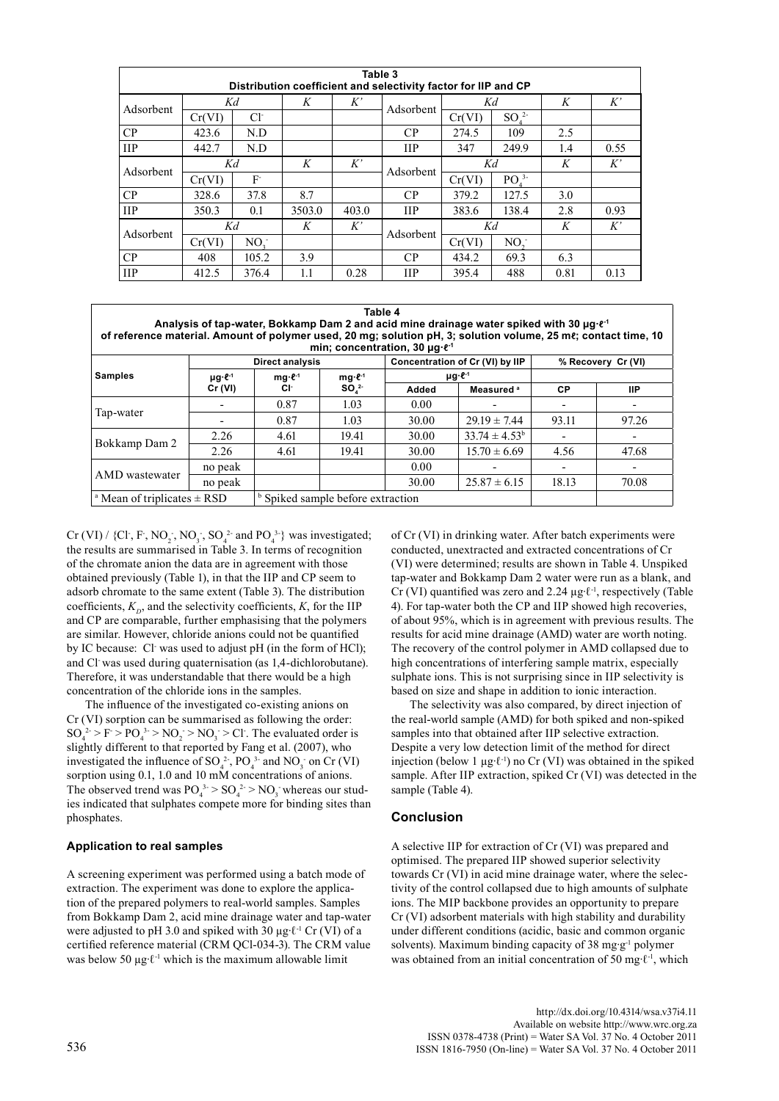| Table 3<br>Distribution coefficient and selectivity factor for IIP and CP |        |                 |        |       |              |        |                     |      |      |  |
|---------------------------------------------------------------------------|--------|-----------------|--------|-------|--------------|--------|---------------------|------|------|--|
| Adsorbent                                                                 | Kd     |                 | K      | K'    |              | Κd     |                     | K    | K'   |  |
|                                                                           | Cr(VI) | $Cl^-$          |        |       | Adsorbent    | Cr(VI) | $SO4$ <sup>2-</sup> |      |      |  |
| $\rm CP$                                                                  | 423.6  | N.D             |        |       | CP           | 274.5  | 109                 | 2.5  |      |  |
| <b>IIP</b>                                                                | 442.7  | N.D             |        |       | <b>IIP</b>   | 347    | 249.9               | 1.4  | 0.55 |  |
| Adsorbent                                                                 | Kd     |                 | K      | K'    | Adsorbent    | Kd     |                     | K    | K'   |  |
|                                                                           | Cr(VI) | F               |        |       |              | Cr(VI) | PO <sup>3</sup>     |      |      |  |
| CP                                                                        | 328.6  | 37.8            | 8.7    |       | CP           | 379.2  | 127.5               | 3.0  |      |  |
| <b>IIP</b>                                                                | 350.3  | 0.1             | 3503.0 | 403.0 | $_{\rm IIP}$ | 383.6  | 138.4               | 2.8  | 0.93 |  |
| Adsorbent                                                                 | Kd     |                 | K      | K'    |              | Kd     |                     | K    | K'   |  |
|                                                                           | Cr(VI) | NO <sub>1</sub> |        |       | Adsorbent    | Cr(VI) | NO <sub>2</sub>     |      |      |  |
| CP                                                                        | 408    | 105.2           | 3.9    |       | CP           | 434.2  | 69.3                | 6.3  |      |  |
| <b>IIP</b>                                                                | 412.5  | 376.4           | 1.1    | 0.28  | ПP           | 395.4  | 488                 | 0.81 | 0.13 |  |

| Table 4<br>Analysis of tap-water, Bokkamp Dam 2 and acid mine drainage water spiked with 30 µq $e^4$<br>of reference material. Amount of polymer used, 20 mg; solution pH, 3; solution volume, 25 me; contact time, 10<br>min; concentration, 30 $\mu$ g $\ell$ <sup>-1</sup> |                     |                                                     |       |                                 |                    |                    |       |  |
|-------------------------------------------------------------------------------------------------------------------------------------------------------------------------------------------------------------------------------------------------------------------------------|---------------------|-----------------------------------------------------|-------|---------------------------------|--------------------|--------------------|-------|--|
| <b>Samples</b>                                                                                                                                                                                                                                                                |                     | <b>Direct analysis</b>                              |       | Concentration of Cr (VI) by IIP |                    | % Recovery Cr (VI) |       |  |
|                                                                                                                                                                                                                                                                               | $\mu$ g $\cdot$ e-1 | $mq·\ell^{-1}$<br>$mg·l-1$<br>SO <sub>2</sub><br>Сŀ |       | $\mu$ g $\ell$ <sup>-1</sup>    |                    |                    |       |  |
|                                                                                                                                                                                                                                                                               | Cr (VI)             |                                                     | Added | Measured <sup>a</sup>           | <b>CP</b>          | ШP                 |       |  |
| Tap-water                                                                                                                                                                                                                                                                     |                     | 0.87                                                | 1.03  | 0.00                            |                    |                    |       |  |
|                                                                                                                                                                                                                                                                               |                     | 0.87                                                | 1.03  | 30.00                           | $29.19 \pm 7.44$   | 93.11              | 97.26 |  |
| Bokkamp Dam 2                                                                                                                                                                                                                                                                 | 2.26                | 4.61                                                | 19.41 | 30.00                           | $33.74 \pm 4.53^b$ |                    |       |  |
|                                                                                                                                                                                                                                                                               | 2.26                | 4.61                                                | 19.41 | 30.00                           | $15.70 \pm 6.69$   | 4.56               | 47.68 |  |
| AMD wastewater                                                                                                                                                                                                                                                                | no peak             |                                                     |       | 0.00                            |                    |                    |       |  |
|                                                                                                                                                                                                                                                                               | no peak             |                                                     |       | 30.00                           | $25.87 \pm 6.15$   | 18.13              | 70.08 |  |
| <sup>a</sup> Mean of triplicates $\pm$ RSD                                                                                                                                                                                                                                    |                     | <sup>b</sup> Spiked sample before extraction        |       |                                 |                    |                    |       |  |

Cr (VI) / {Cl<sup>-</sup>, F<sup>-</sup>, NO<sub>2</sub><sup>-</sup>, NO<sub>3</sub><sup>-</sup>, SO<sub>4</sub><sup>2</sup><sup>-</sup> and PO<sub>4</sub><sup>3</sup><sup>-</sup>} was investigated; the results are summarised in Table 3. In terms of recognition of the chromate anion the data are in agreement with those obtained previously (Table 1), in that the IIP and CP seem to adsorb chromate to the same extent (Table 3). The distribution coefficients,  $K_p$ , and the selectivity coefficients,  $K$ , for the IIP and CP are comparable, further emphasising that the polymers are similar. However, chloride anions could not be quantified by IC because: Cl was used to adjust pH (in the form of HCl); and Cl- was used during quaternisation (as 1,4-dichlorobutane). Therefore, it was understandable that there would be a high concentration of the chloride ions in the samples.

The influence of the investigated co-existing anions on Cr (VI) sorption can be summarised as following the order:  $SO_4^2 > F > PO_4^3 > NO_2 > NO_3 > Cl$ . The evaluated order is slightly different to that reported by Fang et al. (2007), who investigated the influence of  $SO_4^2$ ,  $PO_4^3$  and  $NO_3^-$  on Cr (VI) sorption using 0.1, 1.0 and 10 mM concentrations of anions. The observed trend was  $PO_4^{3.} > SO_4^{2.} > NO_3$  whereas our studies indicated that sulphates compete more for binding sites than phosphates.

# **Application to real samples**

A screening experiment was performed using a batch mode of extraction. The experiment was done to explore the application of the prepared polymers to real-world samples. Samples from Bokkamp Dam 2, acid mine drainage water and tap-water were adjusted to pH 3.0 and spiked with 30 µg∙ℓ-1 Cr (VI) of a certified reference material (CRM QCl-034-3). The CRM value was below 50 μg⋅ℓ<sup>-1</sup> which is the maximum allowable limit

of Cr (VI) in drinking water. After batch experiments were conducted, unextracted and extracted concentrations of Cr (VI) were determined; results are shown in Table 4. Unspiked tap-water and Bokkamp Dam 2 water were run as a blank, and Cr (VI) quantified was zero and 2.24 µg∙ℓ-1, respectively (Table 4). For tap-water both the CP and IIP showed high recoveries, of about 95%, which is in agreement with previous results. The results for acid mine drainage (AMD) water are worth noting. The recovery of the control polymer in AMD collapsed due to high concentrations of interfering sample matrix, especially sulphate ions. This is not surprising since in IIP selectivity is based on size and shape in addition to ionic interaction.

The selectivity was also compared, by direct injection of the real-world sample (AMD) for both spiked and non-spiked samples into that obtained after IIP selective extraction. Despite a very low detection limit of the method for direct injection (below 1 µg∙ℓ-1) no Cr (VI) was obtained in the spiked sample. After IIP extraction, spiked Cr (VI) was detected in the sample (Table 4).

# **Conclusion**

A selective IIP for extraction of Cr (VI) was prepared and optimised. The prepared IIP showed superior selectivity towards Cr (VI) in acid mine drainage water, where the selectivity of the control collapsed due to high amounts of sulphate ions. The MIP backbone provides an opportunity to prepare Cr (VI) adsorbent materials with high stability and durability under different conditions (acidic, basic and common organic solvents). Maximum binding capacity of 38 mg∙g-1 polymer was obtained from an initial concentration of 50 mg⋅ℓ<sup>-1</sup>, which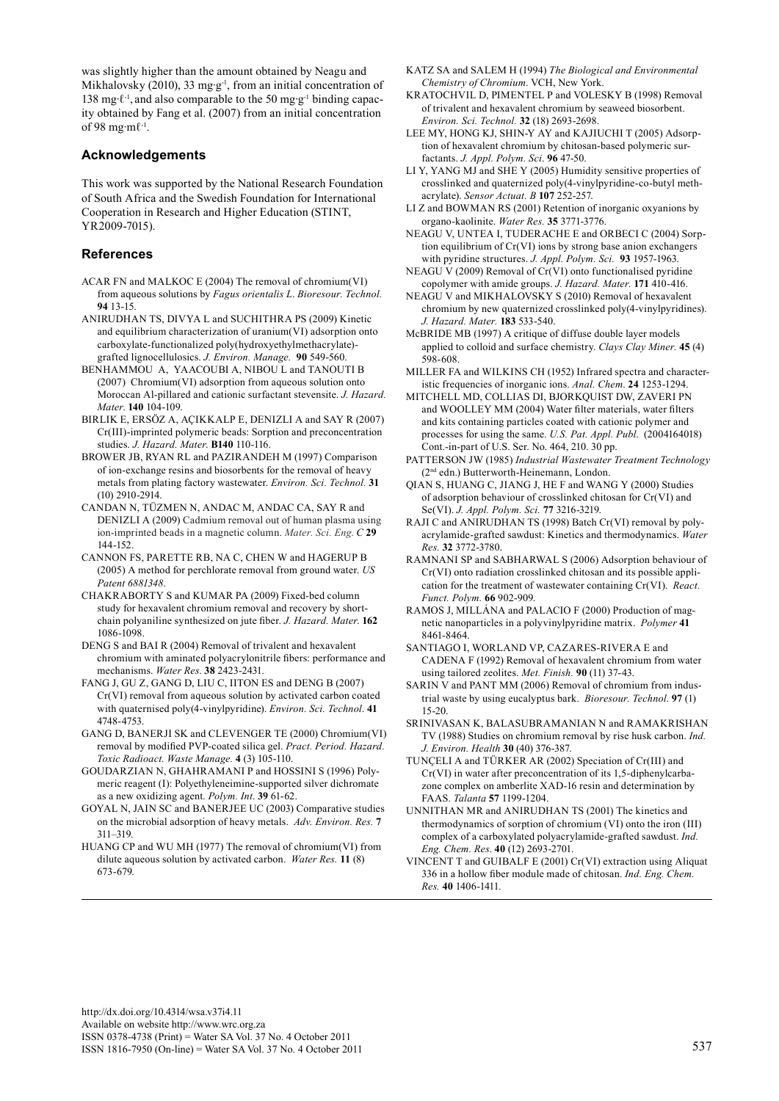was slightly higher than the amount obtained by Neagu and Mikhalovsky (2010), 33 mg⋅g<sup>-1</sup>, from an initial concentration of 138 mg∙ℓ-1, and also comparable to the 50 mg∙g-1 binding capacity obtained by Fang et al. (2007) from an initial concentration of 98 mg∙mℓ-1.

# **Acknowledgements**

This work was supported by the National Research Foundation of South Africa and the Swedish Foundation for International Cooperation in Research and Higher Education (STINT, YR2009-7015).

# **References**

- ACAR FN and MALKOC E (2004) The removal of chromium(VI) from aqueous solutions by *Fagus orientalis L*. *Bioresour. Technol.* **94** 13-15.
- Anirudhan TS, Divya L and Suchithra PS (2009) Kinetic and equilibrium characterization of uranium(VI) adsorption onto carboxylate-functionalized poly(hydroxyethylmethacrylate) grafted lignocellulosics. *J. Environ. Manage.* **90** 549-560.
- BENHAMMOU A, YAACOUBI A, NIBOU L and TANOUTI B (2007) Chromium(VI) adsorption from aqueous solution onto Moroccan Al-pillared and cationic surfactant stevensite. *J. Hazard. Mater*. **140** 104-109.
- BIRLIK E, ERSÖZ A, AÇIKKALP E, DENIZLI A and Say R (2007) Cr(III)-imprinted polymeric beads: Sorption and preconcentration studies. *J. Hazard. Mater*. **B140** 110-116.
- Brower JB, Ryan RL and Pazirandeh M (1997) Comparison of ion-exchange resins and biosorbents for the removal of heavy metals from plating factory wastewater. *Environ. Sci. Technol.* **31**  (10) 2910-2914.
- CANDAN N, TÜZMEN N, ANDAC M, ANDAC CA, SAY R and DENIZLI A (2009) Cadmium removal out of human plasma using ion-imprinted beads in a magnetic column. *Mater. Sci. Eng*. *C* **29** 144-152.
- CANNON FS, PARETTE RB, NA C, CHEN W and HAGERUP B (2005) A method for perchlorate removal from ground water. *US Patent 6881348*.
- CHAKRABORTY S and KUMAR PA (2009) Fixed-bed column study for hexavalent chromium removal and recovery by shortchain polyaniline synthesized on jute fiber. *J. Hazard. Mater*. **162** 1086-1098.
- DENG S and BAI R (2004) Removal of trivalent and hexavalent chromium with aminated polyacrylonitrile fibers: performance and mechanisms. *Water Res*. **38** 2423-2431.
- FANG J, GU Z, GANG D, LIU C, IITON ES and DENG B (2007) Cr(VI) removal from aqueous solution by activated carbon coated with quaternised poly(4-vinylpyridine). *Environ. Sci. Technol*. **41** 4748-4753.
- GANG D, BANERJI SK and CLEVENGER TE (2000) Chromium(VI) removal by modified PVP-coated silica gel. *Pract. Period. Hazard. Toxic Radioact. Waste Manage.* **4** (3) 105-110.
- GOUDARZIAN N, GHAHRAMANI P and HOSSINI S (1996) Polymeric reagent (I): Polyethyleneimine-supported silver dichromate as a new oxidizing agent. *Polym. Int*. **39** 61-62.
- GOYAL N, JAIN SC and BANERJEE UC (2003) Comparative studies on the microbial adsorption of heavy metals. *Adv. Environ. Res.* **7** 311–319.
- HUANG CP and WU MH (1977) The removal of chromium(VI) from dilute aqueous solution by activated carbon. *Water Res.* **11** (8) 673-679.
- KATZ SA and SALEM H (1994) *The Biological and Environmental Chemistry of Chromium*. VCH, New York.
- KRATOCHVIL D, PIMENTEL P and VOLESKY B (1998) Removal of trivalent and hexavalent chromium by seaweed biosorbent. *Environ. Sci. Technol.* **32** (18) 2693-2698.
- LEE MY, HONG KJ, SHIN-Y AY and KAJIUCHI T (2005) [Adsorp](http://onlinelibrary.wiley.com/doi/10.1002/app.21356/abstract)[tion of hexavalent chromium by chitosan-based polymeric sur](http://onlinelibrary.wiley.com/doi/10.1002/app.21356/abstract)[factants](http://onlinelibrary.wiley.com/doi/10.1002/app.21356/abstract). *J. Appl. Polym. Sci*. **96** 47-50.
- LI Y, YANG MJ and SHE Y (2005) Humidity sensitive properties of crosslinked and quaternized poly(4-vinylpyridine-co-butyl methacrylate). *Sensor Actuat. B* **107** 252-257.
- LI Z and BOWMAN RS (2001) Retention of inorganic oxyanions by organo-kaolinite. *Water Res.* **35** 3771-3776.
- NEAGU V, UNTEA I, TUDERACHE E and ORBECI C (2004) Sorption equilibrium of Cr(VI) ions by strong base anion exchangers with pyridine structures. *J. Appl. Polym. Sci.* **93** 1957-1963.
- NEAGU V (2009) Removal of Cr(VI) onto functionalised pyridine copolymer with amide groups. *J. Hazard. Mater.* **171** 410-416.
- NEAGU V and MIKHALOVSKY S (2010) Removal of hexavalent chromium by new quaternized crosslinked poly(4-vinylpyridines). *J. Hazard. Mater.* **183** 533-540.
- McBRIDE MB (1997) A critique of diffuse double layer models applied to colloid and surface chemistry. *Clays Clay Miner.* **45** (4) 598-608.
- MILLER FA and WILKINS CH (1952) Infrared spectra and characteristic frequencies of inorganic ions. *Anal. Chem*. **24** 1253-1294.
- MITCHELL MD, COLLIAS DI, BJORKQUIST DW, ZAVERI PN and WOOLLEY MM (2004) Water filter materials, water filters and kits containing particles coated with cationic polymer and processes for using the same. *U.S. Pat. Appl. Publ*. (2004164018) Cont.-in-part of U.S. Ser. No. 464, 210. 30 pp.
- PATTERSON JW (1985) *Industrial Wastewater Treatment Technology* (2nd edn.) Butterworth-Heinemann, London.
- QIAN S, HUANG C, JIANG J, HE F and WANG Y (2000) Studies of adsorption behaviour of crosslinked chitosan for Cr(VI) and Se(VI). *J. Appl. Polym. Sci.* **77** 3216-3219.
- RAJI C and ANIRUDHAN TS (1998) Batch Cr(VI) removal by polyacrylamide-grafted sawdust: Kinetics and thermodynamics. *Water Res.* **32** 3772-3780.
- RAMNANI SP and SABHARWAL S (2006) Adsorption behaviour of Cr(VI) onto radiation crosslinked chitosan and its possible application for the treatment of wastewater containing Cr(VI). *React. Funct. Polym.* **66** 902-909.
- RAMOS J, MILLÁNA and PALACIO F (2000) Production of magnetic nanoparticles in a polyvinylpyridine matrix. *Polymer* **41** 8461-8464.
- SANTIAGO I, WORLAND VP, CAZARES-RIVERA E and CADENA F (1992) Removal of hexavalent chromium from water using tailored zeolites. *Met. Finish.* **90** (11) 37-43.
- SARIN V and PANT MM (2006) Removal of chromium from industrial waste by using eucalyptus bark. *Bioresour. Technol*. **97** (1) 15-20.
- SRINIVASAN K, BALASUBRAMANIAN N and RAMAKRISHAN TV (1988) Studies on chromium removal by rise husk carbon. *Ind. J. Environ. Health* **30** (40) 376-387.
- TUNҪELI A and TÜRKER AR (2002) Speciation of Cr(III) and Cr(VI) in water after preconcentration of its 1,5-diphenylcarbazone complex on amberlite XAD-16 resin and determination by FAAS. *Talanta* **57** 1199-1204.
- UNNITHAN MR and ANIRUDHAN TS (2001) The kinetics and thermodynamics of sorption of chromium (VI) onto the iron (III) complex of a carboxylated polyacrylamide-grafted sawdust. *Ind. Eng. Chem. Res*. **40** (12) 2693-2701.
- VINCENT T and GUIBALF E (2001) Cr(VI) extraction using Aliquat 336 in a hollow fiber module made of chitosan. *Ind. Eng. Chem. Res.* **40** 1406-1411.